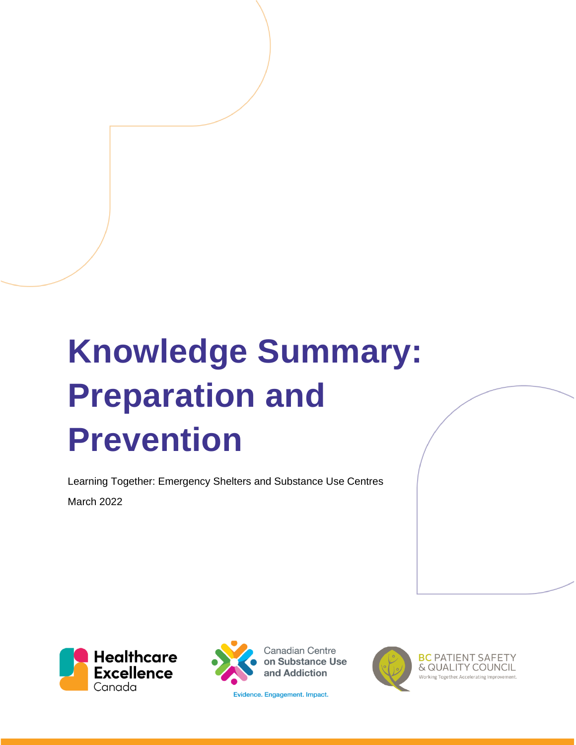# **Knowledge Summary: Preparation and Prevention**

Learning Together: Emergency Shelters and Substance Use Centres March 2022





**Canadian Centre** on Substance Use and Addiction

Evidence. Engagement. Impact.



**BC PATIENT SAFETY** & QUALITY COUNCIL Working Together, Accelerating Improv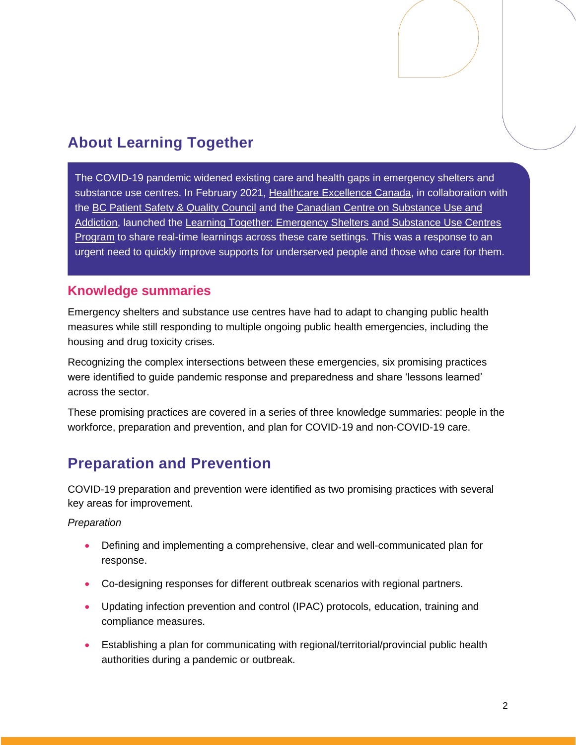# **About Learning Together**

The COVID-19 pandemic widened existing care and health gaps in emergency shelters and substance use centres. In February 2021, [Healthcare Excellence Canada,](https://www.healthcareexcellence.ca/) in collaboration with the [BC Patient Safety & Quality Council](https://bcpsqc.ca/) and the [Canadian Centre on Substance Use and](https://www.ccsa.ca/)  [Addiction,](https://www.ccsa.ca/) launched the [Learning Together: Emergency Shelters and Substance Use Centres](https://www.healthcareexcellence.ca/en/what-we-do/what-we-do-together/learning-together-emergency-shelters-and-substance-use-centres/)  [Program](https://www.healthcareexcellence.ca/en/what-we-do/what-we-do-together/learning-together-emergency-shelters-and-substance-use-centres/) to share real-time learnings across these care settings. This was a response to an urgent need to quickly improve supports for underserved people and those who care for them.

## **Knowledge summaries**

Emergency shelters and substance use centres have had to adapt to changing public health measures while still responding to multiple ongoing public health emergencies, including the housing and drug toxicity crises.

Recognizing the complex intersections between these emergencies, six promising practices were identified to guide pandemic response and preparedness and share 'lessons learned' across the sector.

These promising practices are covered in a series of three knowledge summaries: people in the workforce, preparation and prevention, and plan for COVID-19 and non-COVID-19 care.

## **Preparation and Prevention**

COVID-19 preparation and prevention were identified as two promising practices with several key areas for improvement.

#### *Preparation*

- Defining and implementing a comprehensive, clear and well-communicated plan for response.
- Co-designing responses for different outbreak scenarios with regional partners.
- Updating infection prevention and control (IPAC) protocols, education, training and compliance measures.
- Establishing a plan for communicating with regional/territorial/provincial public health authorities during a pandemic or outbreak.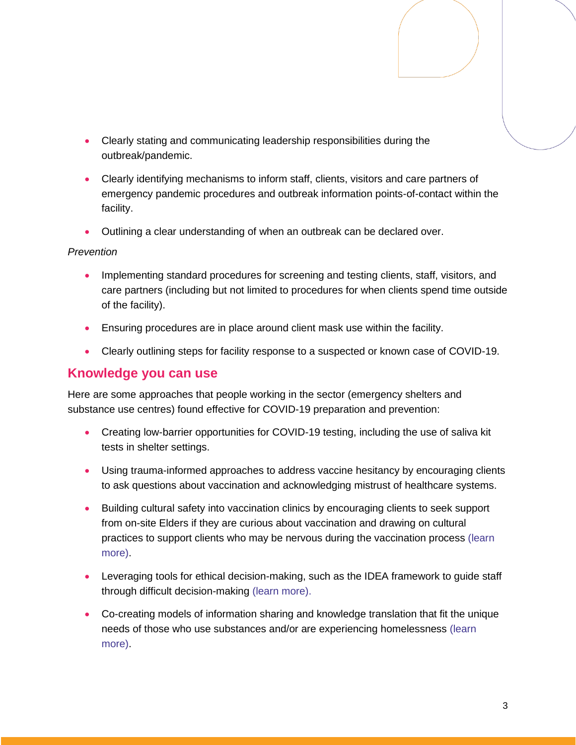- Clearly stating and communicating leadership responsibilities during the outbreak/pandemic.
- Clearly identifying mechanisms to inform staff, clients, visitors and care partners of emergency pandemic procedures and outbreak information points-of-contact within the facility.
- Outlining a clear understanding of when an outbreak can be declared over.

#### *Prevention*

- Implementing standard procedures for screening and testing clients, staff, visitors, and care partners (including but not limited to procedures for when clients spend time outside of the facility).
- Ensuring procedures are in place around client mask use within the facility.
- Clearly outlining steps for facility response to a suspected or known case of COVID-19.

### **Knowledge you can use**

Here are some approaches that people working in the sector (emergency shelters and substance use centres) found effective for COVID-19 preparation and prevention:

- Creating low-barrier opportunities for COVID-19 testing, including the use of saliva kit tests in shelter settings.
- Using trauma-informed approaches to address vaccine hesitancy by encouraging clients to ask questions about vaccination and acknowledging mistrust of healthcare systems.
- Building cultural safety into vaccination clinics by encouraging clients to seek support from on-site Elders if they are curious about vaccination and drawing on cultural practices to support clients who may be nervous during the vaccination process [\(learn](https://www.youtube.com/watch?v=kZ6sY2Orps4&list=PLXppU70IRw-GhOb7cPGZli0VlGzomBxP0&index=6)  [more\)](https://www.youtube.com/watch?v=kZ6sY2Orps4&list=PLXppU70IRw-GhOb7cPGZli0VlGzomBxP0&index=6).
- Leveraging tools for ethical decision-making, such as the IDEA framework to guide staff through difficult decision-making [\(learn more\)](https://www.youtube.com/watch?v=JvJ7jH9bsiI&list=PLXppU70IRw-GhOb7cPGZli0VlGzomBxP0&index=6).
- Co-creating models of information sharing and knowledge translation that fit the unique needs of those who use substances and/or are experiencing homelessness [\(learn](https://www.youtube.com/watch?v=COlGSmgYB2c&list=PLXppU70IRw-GhOb7cPGZli0VlGzomBxP0&index=3)  [more\)](https://www.youtube.com/watch?v=COlGSmgYB2c&list=PLXppU70IRw-GhOb7cPGZli0VlGzomBxP0&index=3).